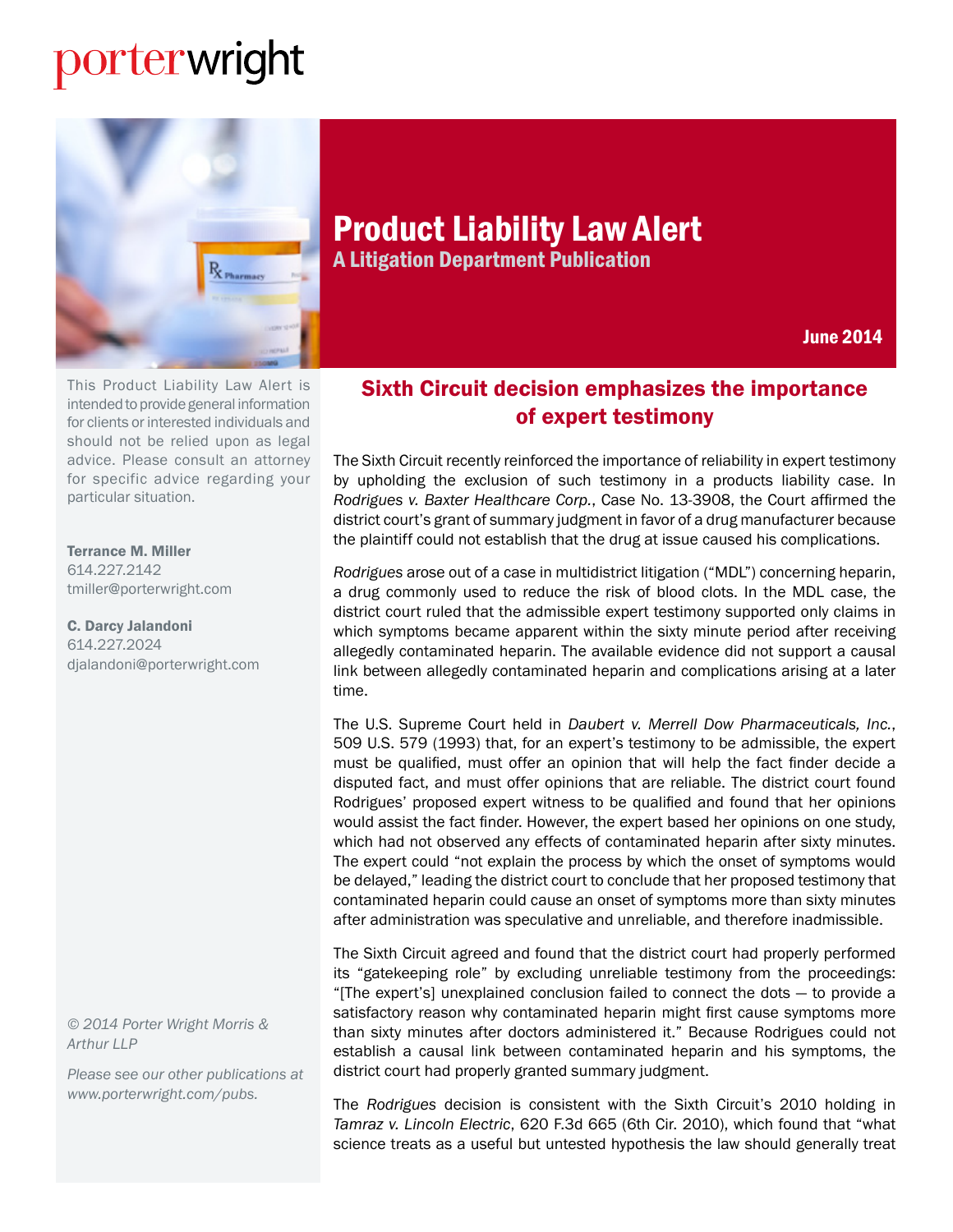## porterwright



Product Liability Law Alert A Litigation Department Publication

June 2014

This Product Liability Law Alert is intended to provide general information for clients or interested individuals and should not be relied upon as legal advice. Please consult an attorney for specific advice regarding your particular situation.

[Terrance M. Miller](http://www.porterwright.com/terrance_miller/)  614.227.2142 tmiller@porterwright.com

[C. Darcy Jalandoni](http://www.porterwright.com/darcy_jalandoni/) 614.227.2024 djalandoni@porterwright.com

*© 2014 Porter Wright Morris & Arthur LLP*

*Please see our other publications at www.porterwright.com/pubs.*

## Sixth Circuit decision emphasizes the importance of expert testimony

The Sixth Circuit recently reinforced the importance of reliability in expert testimony by upholding the exclusion of such testimony in a products liability case. In *Rodrigues v. Baxter Healthcare Corp.*, Case No. 13-3908, the Court affirmed the district court's grant of summary judgment in favor of a drug manufacturer because the plaintiff could not establish that the drug at issue caused his complications.

*Rodrigues* arose out of a case in multidistrict litigation ("MDL") concerning heparin, a drug commonly used to reduce the risk of blood clots. In the MDL case, the district court ruled that the admissible expert testimony supported only claims in which symptoms became apparent within the sixty minute period after receiving allegedly contaminated heparin. The available evidence did not support a causal link between allegedly contaminated heparin and complications arising at a later time.

The U.S. Supreme Court held in *Daubert v. Merrell Dow Pharmaceuticals, Inc.*, 509 U.S. 579 (1993) that, for an expert's testimony to be admissible, the expert must be qualified, must offer an opinion that will help the fact finder decide a disputed fact, and must offer opinions that are reliable. The district court found Rodrigues' proposed expert witness to be qualified and found that her opinions would assist the fact finder. However, the expert based her opinions on one study, which had not observed any effects of contaminated heparin after sixty minutes. The expert could "not explain the process by which the onset of symptoms would be delayed," leading the district court to conclude that her proposed testimony that contaminated heparin could cause an onset of symptoms more than sixty minutes after administration was speculative and unreliable, and therefore inadmissible.

The Sixth Circuit agreed and found that the district court had properly performed its "gatekeeping role" by excluding unreliable testimony from the proceedings: "[The expert's] unexplained conclusion failed to connect the dots — to provide a satisfactory reason why contaminated heparin might first cause symptoms more than sixty minutes after doctors administered it." Because Rodrigues could not establish a causal link between contaminated heparin and his symptoms, the district court had properly granted summary judgment.

The *Rodrigues* decision is consistent with the Sixth Circuit's 2010 holding in *Tamraz v. Lincoln Electric*, 620 F.3d 665 (6th Cir. 2010), which found that "what science treats as a useful but untested hypothesis the law should generally treat